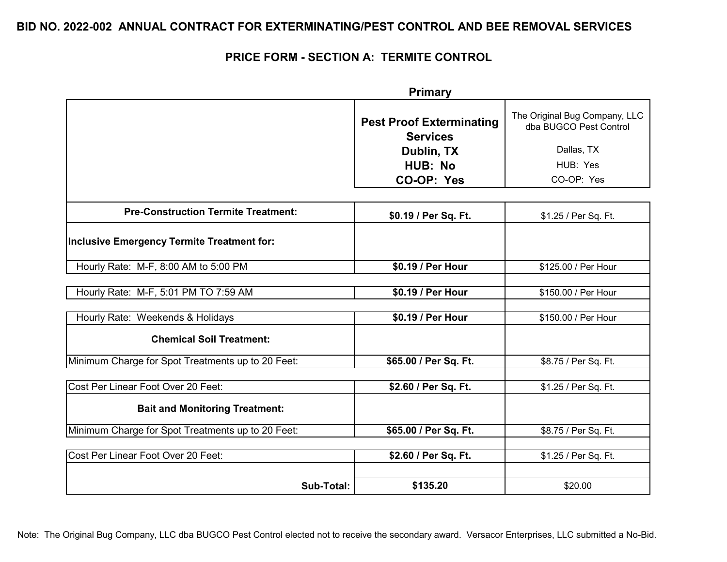### **PRICE FORM - SECTION A: TERMITE CONTROL**

|                                                   | <b>Primary</b>                                     |                                                         |
|---------------------------------------------------|----------------------------------------------------|---------------------------------------------------------|
|                                                   | <b>Pest Proof Exterminating</b><br><b>Services</b> | The Original Bug Company, LLC<br>dba BUGCO Pest Control |
|                                                   | Dublin, TX                                         | Dallas, TX                                              |
|                                                   | <b>HUB: No</b>                                     | HUB: Yes                                                |
|                                                   | CO-OP: Yes                                         | CO-OP: Yes                                              |
|                                                   |                                                    |                                                         |
| <b>Pre-Construction Termite Treatment:</b>        | \$0.19 / Per Sq. Ft.                               | \$1.25 / Per Sq. Ft.                                    |
| Inclusive Emergency Termite Treatment for:        |                                                    |                                                         |
| Hourly Rate: M-F, 8:00 AM to 5:00 PM              | \$0.19 / Per Hour                                  | \$125.00 / Per Hour                                     |
|                                                   |                                                    |                                                         |
| Hourly Rate: M-F, 5:01 PM TO 7:59 AM              | \$0.19 / Per Hour                                  | \$150.00 / Per Hour                                     |
| Hourly Rate: Weekends & Holidays                  | \$0.19 / Per Hour                                  | \$150.00 / Per Hour                                     |
| <b>Chemical Soil Treatment:</b>                   |                                                    |                                                         |
| Minimum Charge for Spot Treatments up to 20 Feet: | \$65.00 / Per Sq. Ft.                              | \$8.75 / Per Sq. Ft.                                    |
| Cost Per Linear Foot Over 20 Feet:                | \$2.60 / Per Sq. Ft.                               | \$1.25 / Per Sq. Ft.                                    |
|                                                   |                                                    |                                                         |
| <b>Bait and Monitoring Treatment:</b>             |                                                    |                                                         |
| Minimum Charge for Spot Treatments up to 20 Feet: | \$65.00 / Per Sq. Ft.                              | \$8.75 / Per Sq. Ft.                                    |
|                                                   |                                                    |                                                         |
| Cost Per Linear Foot Over 20 Feet:                | \$2.60 / Per Sq. Ft.                               | \$1.25 / Per Sq. Ft.                                    |
|                                                   |                                                    |                                                         |
| Sub-Total:                                        | \$135.20                                           | \$20.00                                                 |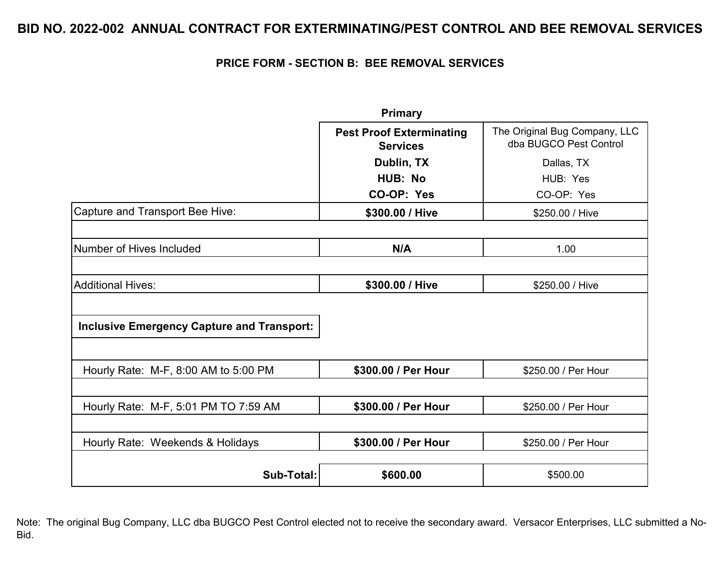### **PRICE FORM - SECTION B: BEE REMOVAL SERVICES**

|                                                   | <b>Primary</b>                                     |                                                         |
|---------------------------------------------------|----------------------------------------------------|---------------------------------------------------------|
|                                                   | <b>Pest Proof Exterminating</b><br><b>Services</b> | The Original Bug Company, LLC<br>dba BUGCO Pest Control |
|                                                   | Dublin, TX                                         | Dallas, TX                                              |
|                                                   | <b>HUB: No</b>                                     | HUB: Yes                                                |
|                                                   | CO-OP: Yes                                         | CO-OP: Yes                                              |
| Capture and Transport Bee Hive:                   | \$300.00 / Hive                                    | \$250.00 / Hive                                         |
|                                                   |                                                    |                                                         |
| Number of Hives Included                          | N/A                                                | 1.00                                                    |
|                                                   |                                                    |                                                         |
| <b>Additional Hives:</b>                          | \$300.00 / Hive                                    | \$250.00 / Hive                                         |
|                                                   |                                                    |                                                         |
| <b>Inclusive Emergency Capture and Transport:</b> |                                                    |                                                         |
|                                                   |                                                    |                                                         |
| Hourly Rate: M-F, 8:00 AM to 5:00 PM              | \$300.00 / Per Hour                                | \$250.00 / Per Hour                                     |
|                                                   |                                                    |                                                         |
| Hourly Rate: M-F, 5:01 PM TO 7:59 AM              | \$300.00 / Per Hour                                | \$250.00 / Per Hour                                     |
|                                                   |                                                    |                                                         |
| Hourly Rate: Weekends & Holidays                  | \$300.00 / Per Hour                                | \$250.00 / Per Hour                                     |
|                                                   |                                                    |                                                         |
| Sub-Total:                                        | \$600.00                                           | \$500.00                                                |

Note: The original Bug Company, LLC dba BUGCO Pest Control elected not to receive the secondary award. Versacor Enterprises, LLC submitted a No-Bid.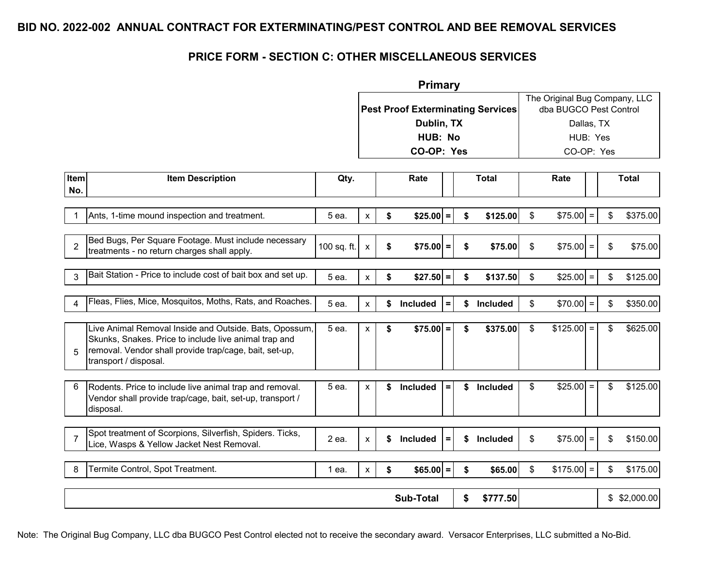### **PRICE FORM - SECTION C: OTHER MISCELLANEOUS SERVICES**

|             |                                                                                                                                                                                                    |             |                    | <b>Primary</b>                           |          |                       |              |                                                         |          |                |
|-------------|----------------------------------------------------------------------------------------------------------------------------------------------------------------------------------------------------|-------------|--------------------|------------------------------------------|----------|-----------------------|--------------|---------------------------------------------------------|----------|----------------|
|             |                                                                                                                                                                                                    |             |                    | <b>Pest Proof Exterminating Services</b> |          |                       |              | The Original Bug Company, LLC<br>dba BUGCO Pest Control |          |                |
|             |                                                                                                                                                                                                    |             |                    | Dublin, TX                               |          |                       |              | Dallas, TX                                              |          |                |
|             |                                                                                                                                                                                                    |             |                    | HUB: No                                  |          |                       |              | HUB: Yes                                                |          |                |
|             |                                                                                                                                                                                                    |             |                    | CO-OP: Yes                               |          |                       |              | CO-OP: Yes                                              |          |                |
|             |                                                                                                                                                                                                    |             |                    |                                          |          |                       |              |                                                         |          |                |
| Item<br>No. | <b>Item Description</b>                                                                                                                                                                            | Qty.        |                    | Rate                                     |          | <b>Total</b>          |              | Rate                                                    |          | <b>Total</b>   |
|             | Ants, 1-time mound inspection and treatment.                                                                                                                                                       | 5 ea.       | X                  | \$<br>$$25.00$ =                         |          | \$<br>\$125.00        | \$           | \$75.00                                                 |          | \$375.00<br>\$ |
| 2           | Bed Bugs, Per Square Footage. Must include necessary<br>treatments - no return charges shall apply.                                                                                                | 100 sq. ft. | $\pmb{\chi}$       | \$<br>$$75.00$ =                         |          | \$<br>\$75.00         | \$           | $$75.00$ =                                              |          | \$<br>\$75.00  |
| 3           | Bait Station - Price to include cost of bait box and set up.                                                                                                                                       | 5 ea.       | $\pmb{\mathsf{X}}$ | \$<br>$$27.50$ =                         |          | \$<br>\$137.50        | \$           | \$25.00                                                 | $\equiv$ | \$<br>\$125.00 |
|             | Fleas, Flies, Mice, Mosquitos, Moths, Rats, and Roaches.                                                                                                                                           | 5 ea.       | $\pmb{\mathsf{x}}$ | \$<br>Included                           | $\equiv$ | \$<br>Included        | \$           | $$70.00$ =                                              |          | \$<br>\$350.00 |
| 5           | Live Animal Removal Inside and Outside. Bats, Opossum,<br>Skunks, Snakes. Price to include live animal trap and<br>removal. Vendor shall provide trap/cage, bait, set-up,<br>transport / disposal. | 5 ea.       | X                  | \$<br>$$75.00$ =                         |          | \$<br>\$375.00        | \$           | \$125.00                                                | $=$      | \$<br>\$625.00 |
|             | Rodents. Price to include live animal trap and removal.<br>Vendor shall provide trap/cage, bait, set-up, transport /<br>disposal.                                                                  | 5 ea.       | X                  | \$<br><b>Included</b>                    | $\equiv$ | \$<br><b>Included</b> | \$           | \$25.00                                                 | $=$      | \$125.00<br>\$ |
| -7          | Spot treatment of Scorpions, Silverfish, Spiders. Ticks,<br>Lice, Wasps & Yellow Jacket Nest Removal.                                                                                              | 2 ea.       | X                  | \$<br><b>Included</b>                    | $\equiv$ | \$<br><b>Included</b> | \$           | \$75.00                                                 | $\equiv$ | \$<br>\$150.00 |
|             | Termite Control, Spot Treatment.                                                                                                                                                                   | 1 ea.       | $\mathsf{x}$       | \$<br>$$65.00$ =                         |          | \$<br>\$65.00         | $\mathbb{S}$ | \$175.00                                                | $=$      | \$175.00<br>\$ |
|             |                                                                                                                                                                                                    |             |                    | <b>Sub-Total</b>                         |          | \$<br>\$777.50        |              |                                                         |          | \$2,000.00     |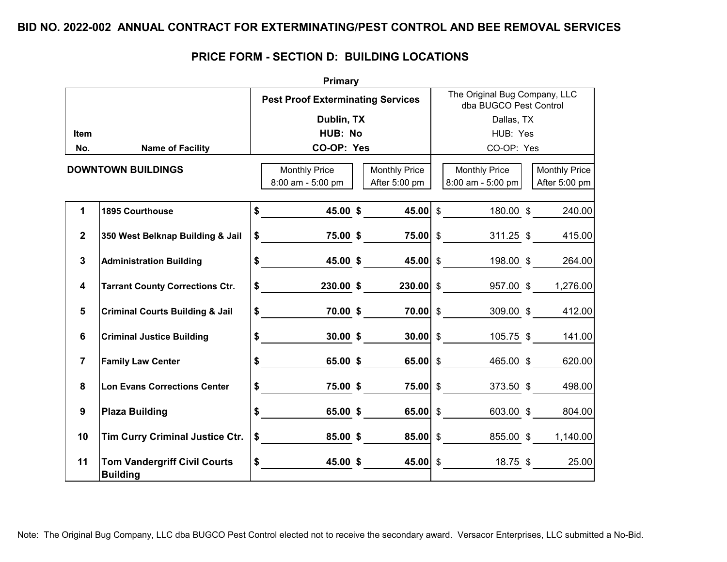| Primary        |                                                        |  |                                                    |  |                      |            |                                                         |  |                                       |  |  |
|----------------|--------------------------------------------------------|--|----------------------------------------------------|--|----------------------|------------|---------------------------------------------------------|--|---------------------------------------|--|--|
|                |                                                        |  | <b>Pest Proof Exterminating Services</b>           |  |                      |            | The Original Bug Company, LLC<br>dba BUGCO Pest Control |  |                                       |  |  |
|                |                                                        |  | Dublin, TX                                         |  |                      |            | Dallas, TX                                              |  |                                       |  |  |
| <b>Item</b>    |                                                        |  | HUB: No                                            |  |                      | HUB: Yes   |                                                         |  |                                       |  |  |
| No.            | <b>Name of Facility</b>                                |  | CO-OP: Yes                                         |  |                      | CO-OP: Yes |                                                         |  |                                       |  |  |
|                | <b>DOWNTOWN BUILDINGS</b>                              |  | <b>Monthly Price</b>                               |  | <b>Monthly Price</b> |            | Monthly Price                                           |  |                                       |  |  |
|                |                                                        |  | 8:00 am - 5:00 pm                                  |  | After 5:00 pm        |            | $8:00$ am - 5:00 pm                                     |  | <b>Monthly Price</b><br>After 5:00 pm |  |  |
|                |                                                        |  |                                                    |  |                      |            |                                                         |  |                                       |  |  |
| 1              | <b>1895 Courthouse</b>                                 |  | $\frac{12}{18}$ 45.00 \$ 45.00 \$ 180.00 \$ 240.00 |  |                      |            |                                                         |  |                                       |  |  |
| $\overline{2}$ | 350 West Belknap Building & Jail                       |  |                                                    |  |                      |            |                                                         |  |                                       |  |  |
| $\mathbf{3}$   | <b>Administration Building</b>                         |  | $\sim$                                             |  | 45.00 \$ 45.00 \$    |            | 198.00 \$                                               |  | 264.00                                |  |  |
| 4              | <b>Tarrant County Corrections Ctr.</b>                 |  | $\sim$                                             |  |                      |            | 230.00 \$ 230.00 \$ 957.00 \$                           |  | 1,276.00                              |  |  |
| 5              | <b>Criminal Courts Building &amp; Jail</b>             |  | $$$ 70.00 \$ 70.00 \$ 70.00 \$ 309.00 \$           |  |                      |            |                                                         |  | 412.00                                |  |  |
| 6              | <b>Criminal Justice Building</b>                       |  | $\frac{1}{\sqrt{2}}$                               |  | $30.00\;$ \$         |            | <b>30.00</b> \$ $105.75$ \$ $141.00$                    |  |                                       |  |  |
| $\overline{7}$ | <b>Family Law Center</b>                               |  | $\frac{1}{\sqrt{2}}$                               |  | 65.00 \$             |            | 65.00 $\frac{1}{2}$<br>465.00 \$                        |  | 620.00                                |  |  |
| 8              | <b>Lon Evans Corrections Center</b>                    |  | $\sim$                                             |  | 75.00 \$             |            | $75.00$ \$<br>$373.50$ \$                               |  | 498.00                                |  |  |
| 9              | <b>Plaza Building</b>                                  |  | $\frac{1}{\sqrt{2}}$                               |  | 65.00 \$ 65.00 \$    |            |                                                         |  | 603.00 \$ 804.00                      |  |  |
| 10             | <b>Tim Curry Criminal Justice Ctr.</b>                 |  | $\sim$                                             |  |                      |            | <b>85.00 \$ 85.00 \$ 855.00 \$</b>                      |  | 1,140.00                              |  |  |
| 11             | <b>Tom Vandergriff Civil Courts</b><br><b>Building</b> |  | $\sim$                                             |  | 45.00 \$             |            | 45.00 \$ $18.75 \text{ }$ \$ 25.00                      |  |                                       |  |  |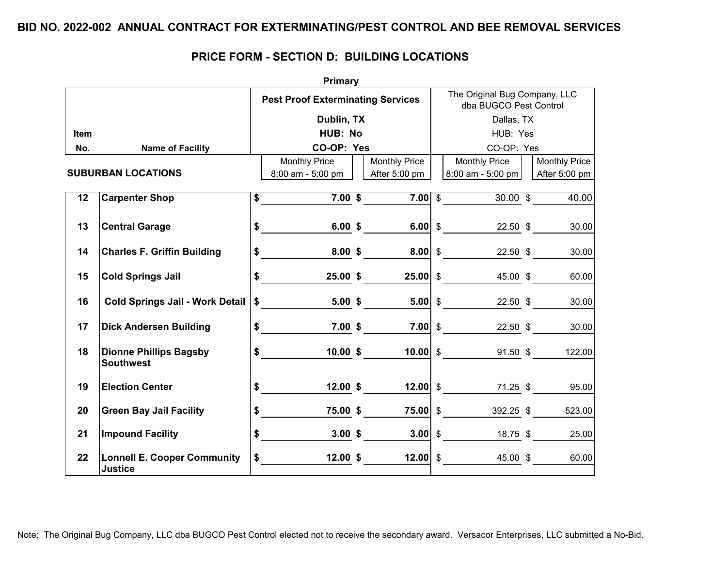| <b>Primary</b> |                                                      |  |                                                                                                                                                                                                                                                                                                                                                                                                                      |  |                      |                                                         |                                                    |  |                              |  |  |  |
|----------------|------------------------------------------------------|--|----------------------------------------------------------------------------------------------------------------------------------------------------------------------------------------------------------------------------------------------------------------------------------------------------------------------------------------------------------------------------------------------------------------------|--|----------------------|---------------------------------------------------------|----------------------------------------------------|--|------------------------------|--|--|--|
|                |                                                      |  | <b>Pest Proof Exterminating Services</b>                                                                                                                                                                                                                                                                                                                                                                             |  |                      | The Original Bug Company, LLC<br>dba BUGCO Pest Control |                                                    |  |                              |  |  |  |
|                |                                                      |  | Dublin, TX                                                                                                                                                                                                                                                                                                                                                                                                           |  |                      |                                                         | Dallas, TX                                         |  |                              |  |  |  |
| <b>Item</b>    |                                                      |  | HUB: No                                                                                                                                                                                                                                                                                                                                                                                                              |  |                      | HUB: Yes                                                |                                                    |  |                              |  |  |  |
| No.            | <b>Name of Facility</b>                              |  | CO-OP: Yes                                                                                                                                                                                                                                                                                                                                                                                                           |  |                      |                                                         | CO-OP: Yes                                         |  |                              |  |  |  |
|                |                                                      |  | <b>Monthly Price</b>                                                                                                                                                                                                                                                                                                                                                                                                 |  | <b>Monthly Price</b> |                                                         | <b>Monthly Price</b>                               |  | <b>Monthly Price</b>         |  |  |  |
|                | <b>SUBURBAN LOCATIONS</b>                            |  | $8:00$ am - 5:00 pm                                                                                                                                                                                                                                                                                                                                                                                                  |  | After 5:00 pm        |                                                         | $8:00$ am - 5:00 pm                                |  | After 5:00 pm                |  |  |  |
|                |                                                      |  |                                                                                                                                                                                                                                                                                                                                                                                                                      |  |                      |                                                         |                                                    |  |                              |  |  |  |
| 12             | <b>Carpenter Shop</b>                                |  | $\frac{1}{2}$ 5 7.00 \$ 7.00 \$ 30.00 \$                                                                                                                                                                                                                                                                                                                                                                             |  |                      |                                                         |                                                    |  | 40.00                        |  |  |  |
|                |                                                      |  |                                                                                                                                                                                                                                                                                                                                                                                                                      |  |                      |                                                         |                                                    |  |                              |  |  |  |
| 13             | <b>Central Garage</b>                                |  | $\sim$                                                                                                                                                                                                                                                                                                                                                                                                               |  | $6.00 \t$$           |                                                         | <b>6.00 \$</b> 22.50 \$                            |  | 30.00                        |  |  |  |
| 14             | <b>Charles F. Griffin Building</b>                   |  | \$ 8.00 \$ 8.00 \ \$ 22.50 \ \$                                                                                                                                                                                                                                                                                                                                                                                      |  |                      |                                                         |                                                    |  | 30.00                        |  |  |  |
|                |                                                      |  |                                                                                                                                                                                                                                                                                                                                                                                                                      |  |                      |                                                         |                                                    |  |                              |  |  |  |
| 15             | <b>Cold Springs Jail</b>                             |  | $\frac{1}{\sqrt{1-\frac{1}{2}}-\frac{1}{2}}$                                                                                                                                                                                                                                                                                                                                                                         |  |                      |                                                         | $25.00$ \$ 25.00 \$ 45.00 \$                       |  | 60.00                        |  |  |  |
|                |                                                      |  |                                                                                                                                                                                                                                                                                                                                                                                                                      |  |                      |                                                         |                                                    |  |                              |  |  |  |
| 16             | <b>Cold Springs Jail - Work Detail</b>               |  | $\frac{1}{\sqrt{2}}$                                                                                                                                                                                                                                                                                                                                                                                                 |  |                      |                                                         | 5.00 \$ 5.00 \$ 22.50 \$                           |  | 30.00                        |  |  |  |
|                |                                                      |  |                                                                                                                                                                                                                                                                                                                                                                                                                      |  |                      |                                                         |                                                    |  |                              |  |  |  |
| 17             | <b>Dick Andersen Building</b>                        |  | \$ 7.00 \$ 7.00 \$ 22.50 \$                                                                                                                                                                                                                                                                                                                                                                                          |  |                      |                                                         |                                                    |  | 30.00                        |  |  |  |
| 18             | <b>Dionne Phillips Bagsby</b>                        |  | $\frac{1}{\sqrt{1-\frac{1}{2}}\sqrt{1-\frac{1}{2}}\sqrt{1-\frac{1}{2}}\sqrt{1-\frac{1}{2}}\sqrt{1-\frac{1}{2}}\sqrt{1-\frac{1}{2}}\sqrt{1-\frac{1}{2}}\sqrt{1-\frac{1}{2}}\sqrt{1-\frac{1}{2}}\sqrt{1-\frac{1}{2}}\sqrt{1-\frac{1}{2}}\sqrt{1-\frac{1}{2}}\sqrt{1-\frac{1}{2}}\sqrt{1-\frac{1}{2}}\sqrt{1-\frac{1}{2}}\sqrt{1-\frac{1}{2}}\sqrt{1-\frac{1}{2}}\sqrt{1-\frac{1}{2}}\sqrt{1-\frac{1}{2}}\sqrt{1-\frac$ |  | 10.00~\$             |                                                         | <b>10.00 \$</b> 91.50 \$                           |  | 122.00                       |  |  |  |
|                | <b>Southwest</b>                                     |  |                                                                                                                                                                                                                                                                                                                                                                                                                      |  |                      |                                                         |                                                    |  |                              |  |  |  |
|                |                                                      |  |                                                                                                                                                                                                                                                                                                                                                                                                                      |  |                      |                                                         |                                                    |  |                              |  |  |  |
| 19             | <b>Election Center</b>                               |  | $\ddot{\bullet}$                                                                                                                                                                                                                                                                                                                                                                                                     |  | $12.00 \; \text{S}$  |                                                         | <b>12.00 <math>\frac{12.00}{8}</math></b> 71.25 \$ |  | 95.00                        |  |  |  |
| 20             | <b>Green Bay Jail Facility</b>                       |  | $\frac{1}{2}$ 5.00 \$ 75.00 \$ 75.00 \$ 392.25 \$                                                                                                                                                                                                                                                                                                                                                                    |  |                      |                                                         |                                                    |  | 523.00                       |  |  |  |
|                |                                                      |  |                                                                                                                                                                                                                                                                                                                                                                                                                      |  |                      |                                                         |                                                    |  |                              |  |  |  |
| 21             | <b>Impound Facility</b>                              |  | $\frac{1}{2}$                                                                                                                                                                                                                                                                                                                                                                                                        |  | $3.00\;$ \$          |                                                         | 3.00 \$ 18.75 \$                                   |  | 25.00                        |  |  |  |
|                |                                                      |  |                                                                                                                                                                                                                                                                                                                                                                                                                      |  |                      |                                                         |                                                    |  |                              |  |  |  |
| 22             | <b>Lonnell E. Cooper Community</b><br><b>Justice</b> |  | $\frac{1}{2}$                                                                                                                                                                                                                                                                                                                                                                                                        |  |                      |                                                         |                                                    |  | $45.00 \text{ }$ \$<br>60.00 |  |  |  |
|                |                                                      |  |                                                                                                                                                                                                                                                                                                                                                                                                                      |  |                      |                                                         |                                                    |  |                              |  |  |  |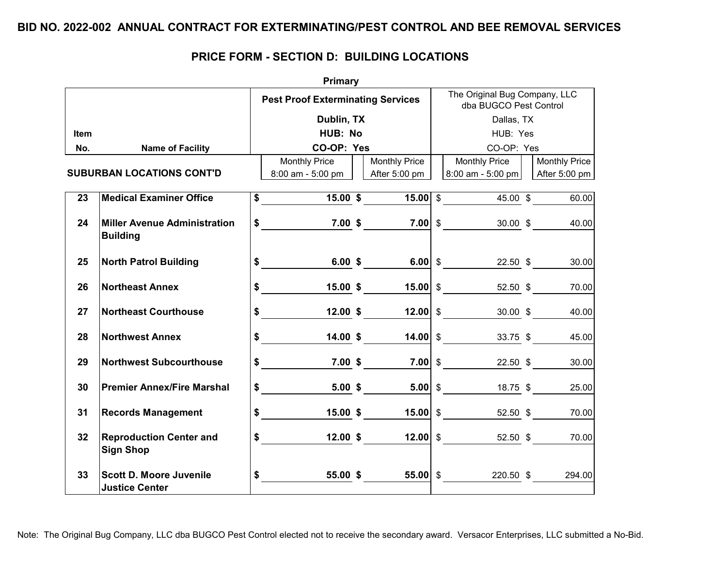|             | <b>Primary</b>                                          |  |                                                                                                                                                                                                                                                                                                                                                                                                                      |  |                             |          |                                                                      |  |                      |  |  |  |  |
|-------------|---------------------------------------------------------|--|----------------------------------------------------------------------------------------------------------------------------------------------------------------------------------------------------------------------------------------------------------------------------------------------------------------------------------------------------------------------------------------------------------------------|--|-----------------------------|----------|----------------------------------------------------------------------|--|----------------------|--|--|--|--|
|             |                                                         |  | <b>Pest Proof Exterminating Services</b>                                                                                                                                                                                                                                                                                                                                                                             |  |                             |          | The Original Bug Company, LLC<br>dba BUGCO Pest Control              |  |                      |  |  |  |  |
|             |                                                         |  | Dublin, TX                                                                                                                                                                                                                                                                                                                                                                                                           |  |                             |          | Dallas, TX                                                           |  |                      |  |  |  |  |
| <b>Item</b> |                                                         |  | HUB: No                                                                                                                                                                                                                                                                                                                                                                                                              |  |                             | HUB: Yes |                                                                      |  |                      |  |  |  |  |
| No.         | <b>Name of Facility</b>                                 |  | CO-OP: Yes                                                                                                                                                                                                                                                                                                                                                                                                           |  |                             |          | CO-OP: Yes                                                           |  |                      |  |  |  |  |
|             |                                                         |  | <b>Monthly Price</b>                                                                                                                                                                                                                                                                                                                                                                                                 |  | <b>Monthly Price</b>        |          | Monthly Price                                                        |  | <b>Monthly Price</b> |  |  |  |  |
|             | <b>SUBURBAN LOCATIONS CONT'D</b>                        |  | 8:00 am - 5:00 pm     After 5:00 pm                                                                                                                                                                                                                                                                                                                                                                                  |  |                             |          | 8:00 am - 5:00 pm                                                    |  | After 5:00 pm        |  |  |  |  |
| 23          | <b>Medical Examiner Office</b>                          |  | $\frac{15.00 \text{ s}}{15.00 \text{ s}}$ 15.00 \$                                                                                                                                                                                                                                                                                                                                                                   |  |                             |          |                                                                      |  | 60.00                |  |  |  |  |
| 24          | <b>Miller Avenue Administration</b><br><b>Building</b>  |  | $\frac{1}{2}$ 5 7.00 \$ 7.00 \$ 30.00 \$                                                                                                                                                                                                                                                                                                                                                                             |  |                             |          |                                                                      |  | 40.00                |  |  |  |  |
| 25          | <b>North Patrol Building</b>                            |  | $\frac{12.50}{10}$ \$ $\frac{6.00}{10}$ \$ $\frac{6.00}{10}$ \$ $\frac{22.50}{10}$ \$ $\frac{100}{10}$                                                                                                                                                                                                                                                                                                               |  |                             |          |                                                                      |  | 30.00                |  |  |  |  |
| 26          | <b>Northeast Annex</b>                                  |  | $\frac{15.00 \cdot 52.50}{15.00 \cdot 52.50 \cdot 52.50}$ \$ 70.00                                                                                                                                                                                                                                                                                                                                                   |  |                             |          |                                                                      |  |                      |  |  |  |  |
| 27          | <b>Northeast Courthouse</b>                             |  | $\frac{1}{\sqrt{1-\frac{1}{2}}\sqrt{1-\frac{1}{2}}\sqrt{1-\frac{1}{2}}\sqrt{1-\frac{1}{2}}\sqrt{1-\frac{1}{2}}\sqrt{1-\frac{1}{2}}\sqrt{1-\frac{1}{2}}\sqrt{1-\frac{1}{2}}\sqrt{1-\frac{1}{2}}\sqrt{1-\frac{1}{2}}\sqrt{1-\frac{1}{2}}\sqrt{1-\frac{1}{2}}\sqrt{1-\frac{1}{2}}\sqrt{1-\frac{1}{2}}\sqrt{1-\frac{1}{2}}\sqrt{1-\frac{1}{2}}\sqrt{1-\frac{1}{2}}\sqrt{1-\frac{1}{2}}\sqrt{1-\frac{1}{2}}\sqrt{1-\frac$ |  | $12.00$ \$ 12.00 \$         |          |                                                                      |  | 30.00 \$<br>40.00    |  |  |  |  |
| 28          | <b>Northwest Annex</b>                                  |  | $\frac{1}{\sqrt{2}}$                                                                                                                                                                                                                                                                                                                                                                                                 |  |                             |          | $\underline{14.00}$ \$ $\underline{14.00}$ \$ $\underline{33.75}$ \$ |  | 45.00                |  |  |  |  |
| 29          | <b>Northwest Subcourthouse</b>                          |  | $\frac{12.50}{22.50}$ \$ 7.00 \$ 7.00 \$ 22.50 \$                                                                                                                                                                                                                                                                                                                                                                    |  |                             |          |                                                                      |  | 30.00                |  |  |  |  |
| 30          | <b>Premier Annex/Fire Marshal</b>                       |  | $\frac{18.75}{20}$ $\frac{5.00}{25.00}$ $\frac{25.00}{25.00}$ $\frac{18.75}{25.00}$                                                                                                                                                                                                                                                                                                                                  |  |                             |          |                                                                      |  |                      |  |  |  |  |
| 31          | <b>Records Management</b>                               |  | $\frac{1}{\sqrt{2}}$                                                                                                                                                                                                                                                                                                                                                                                                 |  | $15.00 \text{ }$ \$15.00 \$ |          |                                                                      |  | 52.50 \$ 70.00       |  |  |  |  |
| 32          | <b>Reproduction Center and</b><br><b>Sign Shop</b>      |  | $\frac{1}{\sqrt{2}}$                                                                                                                                                                                                                                                                                                                                                                                                 |  |                             |          | 12.00 \$ 12.00 $\frac{12.00}{8}$ 52.50 \$ 70.00                      |  |                      |  |  |  |  |
| 33          | <b>Scott D. Moore Juvenile</b><br><b>Justice Center</b> |  | $\frac{1}{\sqrt{1-\frac{1}{2}}\sqrt{1-\frac{1}{2}}\sqrt{1-\frac{1}{2}}\sqrt{1-\frac{1}{2}}\sqrt{1-\frac{1}{2}}\sqrt{1-\frac{1}{2}}\sqrt{1-\frac{1}{2}}\sqrt{1-\frac{1}{2}}\sqrt{1-\frac{1}{2}}\sqrt{1-\frac{1}{2}}\sqrt{1-\frac{1}{2}}\sqrt{1-\frac{1}{2}}\sqrt{1-\frac{1}{2}}\sqrt{1-\frac{1}{2}}\sqrt{1-\frac{1}{2}}\sqrt{1-\frac{1}{2}}\sqrt{1-\frac{1}{2}}\sqrt{1-\frac{1}{2}}\sqrt{1-\frac{1}{2}}\sqrt{1-\frac$ |  |                             |          | 220.50 \$                                                            |  | 294.00               |  |  |  |  |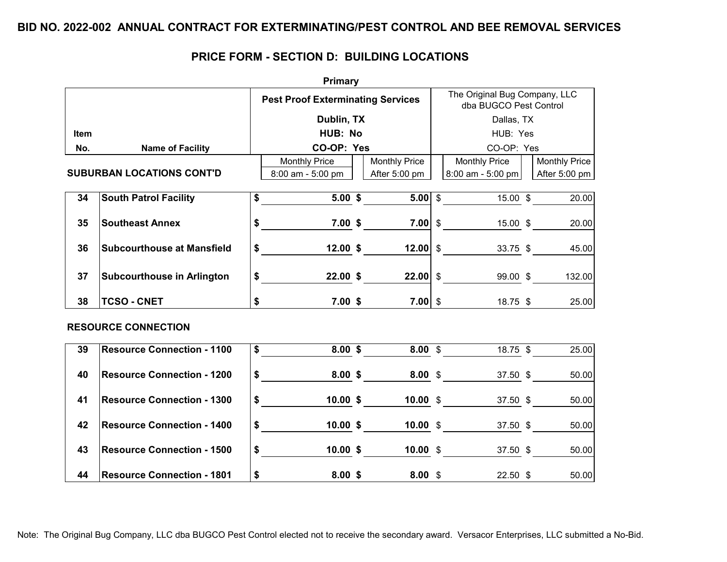# **PRICE FORM - SECTION D: BUILDING LOCATIONS**

|             |                                   | <b>Primary</b>                                    |                      |                                                         |                                  |  |                      |  |
|-------------|-----------------------------------|---------------------------------------------------|----------------------|---------------------------------------------------------|----------------------------------|--|----------------------|--|
|             |                                   | <b>Pest Proof Exterminating Services</b>          |                      | The Original Bug Company, LLC<br>dba BUGCO Pest Control |                                  |  |                      |  |
|             |                                   | Dublin, TX                                        |                      |                                                         | Dallas, TX                       |  |                      |  |
| <b>Item</b> |                                   | HUB: No                                           |                      |                                                         | HUB: Yes                         |  |                      |  |
| No.         | <b>Name of Facility</b>           | CO-OP: Yes                                        |                      |                                                         | CO-OP: Yes                       |  |                      |  |
|             |                                   | <b>Monthly Price</b>                              | <b>Monthly Price</b> |                                                         | <b>Monthly Price</b>             |  | <b>Monthly Price</b> |  |
|             | <b>SUBURBAN LOCATIONS CONT'D</b>  | 8:00 am - 5:00 pm                                 | After 5:00 pm        |                                                         | $8:00$ am - 5:00 pm              |  | After 5:00 pm        |  |
|             |                                   |                                                   |                      |                                                         |                                  |  |                      |  |
| 34          | <b>South Patrol Facility</b>      | $5.00 \t$$<br>$\overline{\text{S}}$               |                      |                                                         | $\overline{5.00}$ \$<br>15.00 \$ |  | 20.00                |  |
| 35          | <b>Southeast Annex</b>            | $\frac{15.00 \text{ s}}{15.00 \text{ s}}$ 7.00 \$ |                      |                                                         |                                  |  | 20.00                |  |
|             |                                   |                                                   |                      |                                                         |                                  |  |                      |  |
| 36          | <b>Subcourthouse at Mansfield</b> | $\frac{1}{\sqrt{2}}$                              | 12.00~\$             |                                                         | 12.00 $$$                        |  | 33.75 \$<br>45.00    |  |
|             |                                   |                                                   |                      |                                                         |                                  |  |                      |  |
| 37          | <b>Subcourthouse in Arlington</b> | $\frac{22.00 \text{ } $}{\text{}}$                |                      |                                                         | <b>22.00 \$</b> 99.00 \$         |  | 132.00               |  |
| 38          | <b>TCSO - CNET</b>                | \$                                                | 7.00~\$<br>$7.00$ \$ |                                                         |                                  |  | 18.75 \$<br>25.00    |  |
|             |                                   |                                                   |                      |                                                         |                                  |  |                      |  |
|             | <b>RESOURCE CONNECTION</b>        |                                                   |                      |                                                         |                                  |  |                      |  |
| 39          | <b>Resource Connection - 1100</b> |                                                   | $8.00 \;$ \$         |                                                         | $8.00 \t$$<br>$18.75$ \$         |  | 25.00                |  |
|             |                                   |                                                   |                      |                                                         |                                  |  |                      |  |
| 40          | <b>Resource Connection - 1200</b> | $$3.00 \text{ $8.00 \text{ $8$}}$                 |                      |                                                         | 37.50 \$                         |  | 50.00                |  |
| 41          | <b>Resource Connection - 1300</b> | $\frac{1}{\sqrt{2}}$                              | 10.00~\$             |                                                         | $10.00 \t$$                      |  | 37.50 \$<br>50.00    |  |
|             |                                   |                                                   |                      |                                                         |                                  |  |                      |  |
| 42          | <b>Resource Connection - 1400</b> | $\frac{1}{\sqrt{2}}$                              | 10.00~\$             |                                                         | <b>10.00</b> \$ 37.50 \$         |  | 50.00                |  |
|             |                                   |                                                   |                      |                                                         |                                  |  |                      |  |
| 43          | <b>Resource Connection - 1500</b> | $\frac{1}{2}$                                     | $10.00 \text{ }$ \$  |                                                         | $10.00 \t$$<br>37.50 \$          |  | 50.00                |  |
| 44          | <b>Resource Connection - 1801</b> | \$<br>8.00~\$                                     | $8.00*$              |                                                         | $22.50$ \$                       |  | 50.00                |  |

Note: The Original Bug Company, LLC dba BUGCO Pest Control elected not to receive the secondary award. Versacor Enterprises, LLC submitted a No-Bid.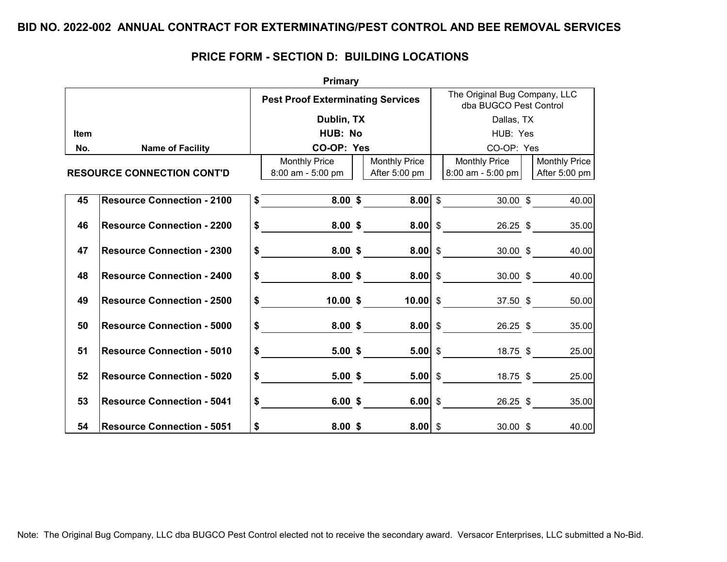|             |                                   |               | <b>Primary</b>                              |                                       |          |                                                         |  |                                       |  |  |
|-------------|-----------------------------------|---------------|---------------------------------------------|---------------------------------------|----------|---------------------------------------------------------|--|---------------------------------------|--|--|
|             |                                   |               | <b>Pest Proof Exterminating Services</b>    |                                       |          | The Original Bug Company, LLC<br>dba BUGCO Pest Control |  |                                       |  |  |
|             |                                   |               | Dublin, TX                                  |                                       |          | Dallas, TX                                              |  |                                       |  |  |
| <b>Item</b> |                                   |               | HUB: No                                     |                                       | HUB: Yes |                                                         |  |                                       |  |  |
| No.         | <b>Name of Facility</b>           |               | CO-OP: Yes                                  |                                       |          | CO-OP: Yes                                              |  |                                       |  |  |
|             | <b>RESOURCE CONNECTION CONT'D</b> |               | <b>Monthly Price</b><br>$8:00$ am - 5:00 pm | <b>Monthly Price</b><br>After 5:00 pm |          | <b>Monthly Price</b><br>$8:00$ am - 5:00 pm             |  | <b>Monthly Price</b><br>After 5:00 pm |  |  |
| 45          | <b>Resource Connection - 2100</b> | \$            | $8.00 \;$ \$                                | $8.00$ \$                             |          | $30.00$ \$                                              |  | 40.00                                 |  |  |
| 46          | <b>Resource Connection - 2200</b> |               | $\sim$<br>8.00~\$                           | $8.00 \, \text{S}$                    |          | 26.25 \$                                                |  | 35.00                                 |  |  |
| 47          | <b>Resource Connection - 2300</b> |               | $\frac{1}{\sqrt{2}}$<br>8.00~\$             | $8.00 \, \text{S}$                    |          | 30.00 \$                                                |  | 40.00                                 |  |  |
| 48          | <b>Resource Connection - 2400</b> | $\frac{1}{2}$ | 8.00~\$                                     | $8.00$ \$                             |          | 30.00~\$                                                |  | 40.00                                 |  |  |
| 49          | <b>Resource Connection - 2500</b> |               | $\boldsymbol{\mathsf{s}}$<br>10.00~\$       | $10.00$ \$                            |          | 37.50 \$                                                |  | 50.00                                 |  |  |
| 50          | <b>Resource Connection - 5000</b> |               | $\frac{1}{2}$<br>8.00~\$                    | $8.00$ \$                             |          | 26.25 \$                                                |  | 35.00                                 |  |  |
| 51          | <b>Resource Connection - 5010</b> | $\frac{1}{2}$ | 5.00~\$                                     | $5.00$ \$                             |          | 18.75 \$                                                |  | 25.00                                 |  |  |
| 52          | <b>Resource Connection - 5020</b> |               | $$\overline{\phantom{a}3}$<br>5.00~\$       |                                       |          | 18.75 \$                                                |  | 25.00                                 |  |  |
| 53          | <b>Resource Connection - 5041</b> |               | $\sim$<br>6.00~\$                           | 6.00 \$                               |          |                                                         |  | 26.25 \$<br>35.00                     |  |  |
| 54          | <b>Resource Connection - 5051</b> | \$            | $8.00$ \$                                   | $8.00$ \$                             |          | $30.00 \text{ }$ \$                                     |  | 40.00                                 |  |  |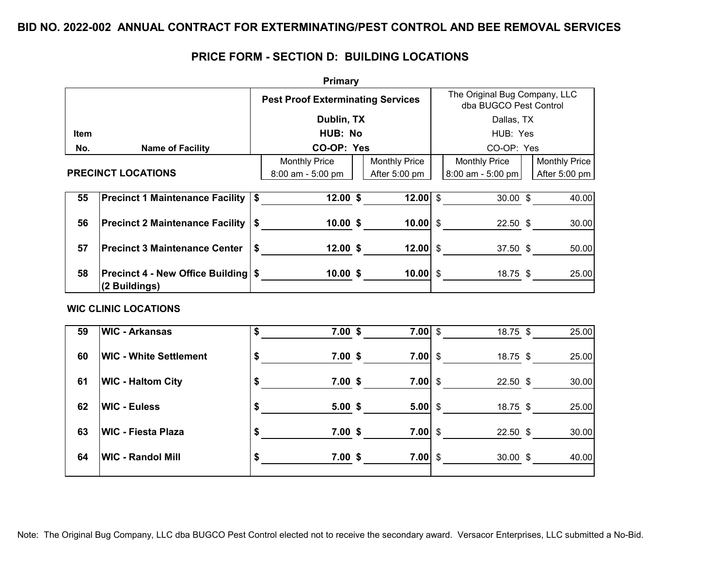|             | <b>Primary</b>                                 |                           |                                          |  |                        |                                                         |                                |  |                      |  |  |  |  |
|-------------|------------------------------------------------|---------------------------|------------------------------------------|--|------------------------|---------------------------------------------------------|--------------------------------|--|----------------------|--|--|--|--|
|             |                                                |                           | <b>Pest Proof Exterminating Services</b> |  |                        | The Original Bug Company, LLC<br>dba BUGCO Pest Control |                                |  |                      |  |  |  |  |
|             |                                                |                           | Dublin, TX                               |  |                        |                                                         | Dallas, TX                     |  |                      |  |  |  |  |
| <b>Item</b> |                                                |                           | HUB: No                                  |  |                        | HUB: Yes                                                |                                |  |                      |  |  |  |  |
| No.         | <b>Name of Facility</b>                        |                           | CO-OP: Yes                               |  |                        |                                                         | CO-OP: Yes                     |  |                      |  |  |  |  |
|             |                                                |                           | <b>Monthly Price</b>                     |  | <b>Monthly Price</b>   |                                                         | <b>Monthly Price</b>           |  | <b>Monthly Price</b> |  |  |  |  |
|             | <b>PRECINCT LOCATIONS</b>                      |                           | 8:00 am - 5:00 pm                        |  | After 5:00 pm          |                                                         | $8:00$ am - 5:00 pm            |  | After 5:00 pm        |  |  |  |  |
|             |                                                |                           |                                          |  |                        |                                                         |                                |  |                      |  |  |  |  |
| 55          | Precinct 1 Maintenance Facility   \$           |                           | 12.00~\$                                 |  |                        |                                                         | $12.00$ \$<br>$30.00$ \$       |  | 40.00                |  |  |  |  |
| 56          | <b>Precinct 2 Maintenance Facility   \$</b>    |                           |                                          |  | 10.00~\$               |                                                         | $10.00$ \$                     |  | 22.50 \$<br>30.00    |  |  |  |  |
|             |                                                |                           |                                          |  |                        |                                                         |                                |  |                      |  |  |  |  |
| 57          | <b>Precinct 3 Maintenance Center</b>           | \$                        |                                          |  | 12.00~\$<br>$12.00$ \$ |                                                         | 37.50 \$                       |  | 50.00                |  |  |  |  |
|             |                                                |                           |                                          |  |                        |                                                         |                                |  |                      |  |  |  |  |
| 58          | Precinct 4 - New Office Building   \$ 10.00 \$ |                           |                                          |  |                        |                                                         | $10.00$ \$<br>18.75 \$         |  | 25.00                |  |  |  |  |
|             | (2 Buildings)                                  |                           |                                          |  |                        |                                                         |                                |  |                      |  |  |  |  |
|             | <b>WIC CLINIC LOCATIONS</b>                    |                           |                                          |  |                        |                                                         |                                |  |                      |  |  |  |  |
|             |                                                |                           |                                          |  |                        |                                                         |                                |  |                      |  |  |  |  |
| 59          | <b>WIC - Arkansas</b>                          |                           | $\overline{\$}$                          |  | 7.00~\$                |                                                         | $7.00$ \$<br>18.75 \$          |  | $\overline{2}5.00$   |  |  |  |  |
|             |                                                |                           |                                          |  |                        |                                                         |                                |  |                      |  |  |  |  |
| 60          | <b>WIC - White Settlement</b>                  |                           | $\frac{1}{\sqrt{2}}$<br>7.00~\$          |  |                        |                                                         | 7.00 $\sqrt{s}$<br>18.75 \$    |  | 25.00                |  |  |  |  |
|             |                                                |                           |                                          |  |                        |                                                         |                                |  |                      |  |  |  |  |
| 61          | <b>WIC - Haltom City</b>                       |                           | $\ddot{\bullet}$<br>7.00~\$              |  | $7.00$ \$              |                                                         | $22.50$ \$                     |  | 30.00                |  |  |  |  |
| 62          | <b>WIC - Euless</b>                            |                           | 5.00~\$                                  |  |                        |                                                         | $5.00 \, \text{S}$<br>18.75 \$ |  | 25.00                |  |  |  |  |
|             |                                                |                           | $\frac{1}{\sqrt{2}}$                     |  |                        |                                                         |                                |  |                      |  |  |  |  |
| 63          | <b>WIC - Fiesta Plaza</b>                      |                           | $\frac{1}{\sqrt{2}}$<br>7.00~\$          |  |                        |                                                         | $7.00 \, \text{S}$<br>22.50 \$ |  | 30.00                |  |  |  |  |
|             |                                                |                           |                                          |  |                        |                                                         |                                |  |                      |  |  |  |  |
| 64          | <b>WIC - Randol Mill</b>                       | $\boldsymbol{\mathsf{s}}$ | 7.00~\$                                  |  | $7.00 \, \text{S}$     |                                                         | 30.00~\$                       |  | 40.00                |  |  |  |  |
|             |                                                |                           |                                          |  |                        |                                                         |                                |  |                      |  |  |  |  |